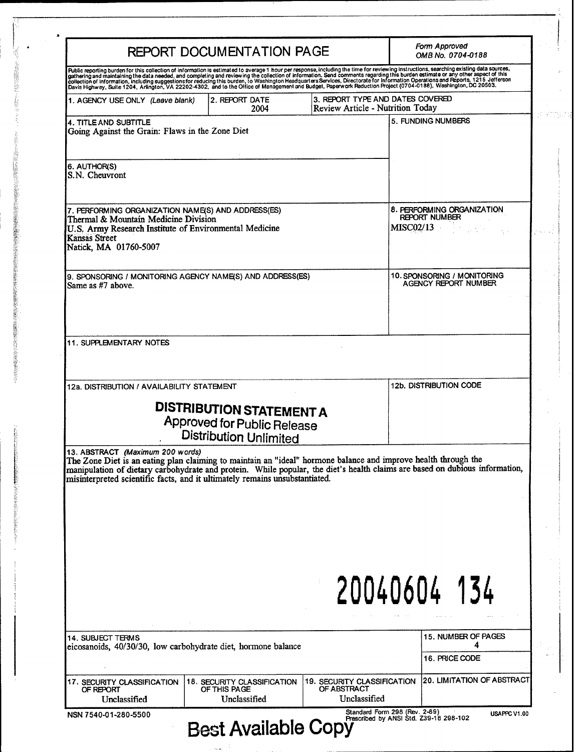| REPORT DOCUMENTATION PAGE                                                                                                                                                                                                                                                                                                                                                                                                                                     |                                                                |  |                                                                                                                        | Form Approved<br>OMB No. 0704-0188    |  |
|---------------------------------------------------------------------------------------------------------------------------------------------------------------------------------------------------------------------------------------------------------------------------------------------------------------------------------------------------------------------------------------------------------------------------------------------------------------|----------------------------------------------------------------|--|------------------------------------------------------------------------------------------------------------------------|---------------------------------------|--|
| Public reporting burden for this collection of information is estimated to average 1 hour per response, including the time for reviewing instructions, searching existing data sources,<br>gathering and maintaining the data nee                                                                                                                                                                                                                             |                                                                |  |                                                                                                                        |                                       |  |
| 1. AGENCY USE ONLY (Leave blank)                                                                                                                                                                                                                                                                                                                                                                                                                              | 2. REPORT DATE<br>2004                                         |  | 3. REPORT TYPE AND DATES COVERED<br>Review Article - Nutrition Today                                                   |                                       |  |
| <b>4. TITLE AND SUBTITLE</b><br>Going Against the Grain: Flaws in the Zone Diet                                                                                                                                                                                                                                                                                                                                                                               |                                                                |  | 5. FUNDING NUMBERS                                                                                                     |                                       |  |
| 6. AUTHOR(S)<br>S.N. Cheuvront                                                                                                                                                                                                                                                                                                                                                                                                                                |                                                                |  |                                                                                                                        |                                       |  |
| 7. PERFORMING ORGANIZATION NAME(S) AND ADDRESS(ES)<br>Thermal & Mountain Medicine Division<br>U.S. Army Research Institute of Environmental Medicine<br><b>Kansas Street</b><br>Natick, MA 01760-5007<br>9. SPONSORING / MONITORING AGENCY NAME(S) AND ADDRESS(ES)<br>Same as #7 above.                                                                                                                                                                       |                                                                |  | 8. PERFORMING ORGANIZATION<br>REPORT NUMBER<br><b>MISC02/13</b><br>10. SPONSORING / MONITORING<br>AGENCY REPORT NUMBER |                                       |  |
|                                                                                                                                                                                                                                                                                                                                                                                                                                                               |                                                                |  |                                                                                                                        |                                       |  |
| <b>11. SUPPLEMENTARY NOTES</b>                                                                                                                                                                                                                                                                                                                                                                                                                                |                                                                |  |                                                                                                                        |                                       |  |
| 12a. DISTRIBUTION / AVAILABILITY STATEMENT                                                                                                                                                                                                                                                                                                                                                                                                                    | <b>DISTRIBUTION STATEMENT A</b><br>Approved for Public Release |  |                                                                                                                        | <b>12b. DISTRIBUTION CODE</b>         |  |
|                                                                                                                                                                                                                                                                                                                                                                                                                                                               | <b>Distribution Unlimited</b>                                  |  | 20040604 134                                                                                                           |                                       |  |
| 13. ABSTRACT (Maximum 200 words)<br>The Zone Diet is an eating plan claiming to maintain an "ideal" hormone balance and improve health through the<br>manipulation of dietary carbohydrate and protein. While popular, the diet's health claims are based on dubious information,<br>misinterpreted scientific facts, and it ultimately remains unsubstantiated.<br><b>14. SUBJECT TERMS</b><br>eicosanoids, 40/30/30, low carbohydrate diet, hormone balance |                                                                |  |                                                                                                                        | 15. NUMBER OF PAGES<br>16. PRICE CODE |  |

了。2012年12月22日,1992年19月12日,1992年19月12日,1992年19月12日,1992年10月12日,1992年10月12日,1992年10月12日,1992年,1992年10月 1993年,199<br>1992年

 $\overline{\mathbf{1}}$ 

 $\begin{array}{c} \begin{array}{c} \begin{array}{c} \begin{array}{c} \end{array} \\ \begin{array}{c} \end{array} \\ \begin{array}{c} \end{array} \\ \begin{array}{c} \end{array} \end{array} \end{array} \end{array}$ 

 $\hat{\phantom{a}}$ 

i<br>Ala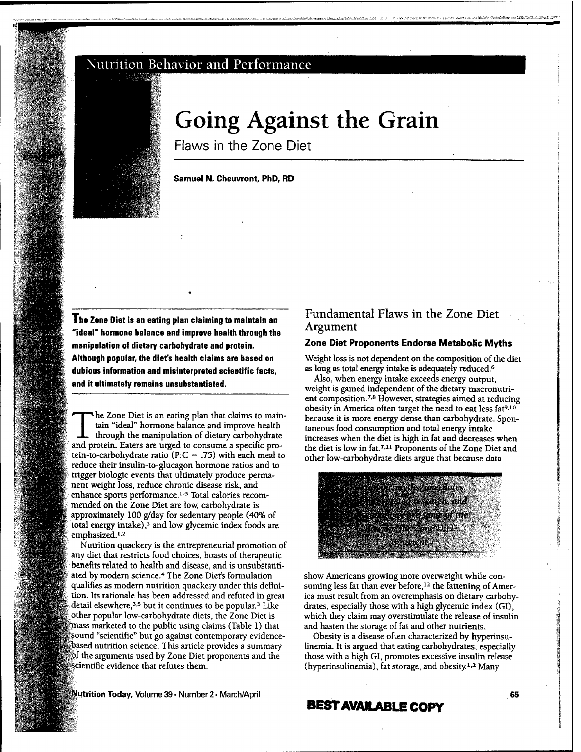# Nutrition Behavior and Performance



**V**

**-"S^**

**43**

**>>\*'i**

**•'4a**

# **Going Against the Grain**

Flaws in the Zone Diet

#### Samuel N. Cheuvront, PhD, RD

**The Zone Diet is an eating plan claiming to maintain an "ideal' hormone balance and improve health through the manipulation of dietary carbohydrate and protein. Although popular, the diet's health claims are based on dubious information and misinterpreted scientific facts, and it ultimately remains unsubstantiated.**

The Zone Diet is an eating plan that claims to maintain "ideal" hormone balance and improve health through the manipulation of dietary carbohydrate and protein. Eaters are urged to consume a specific protein-to-carbohydrate ratio (P: $C = .75$ ) with each meal to reduce their insulin-to-glucagon hormone ratios and to trigger biologic events that ultimately produce permanent weight loss, reduce chronic disease risk, and enhance sports performance.<sup>1-3</sup> Total calories recomnended on the Zone Diet are low, carbohydrate is approximately 100 g/day for sedentary people (40% of total energy intake), $3$  and low glycemic index foods are emphasized.<sup>1,2</sup>

Nutrition quackery is the entrepreneurial promotion of any diet that restricts food choices, boasts of therapeutic benefits related to health and disease, and is unsubstantiated by modern science.<sup>4</sup> The Zone Diet's formulation qualifies as modem nutrition quackery under this defini tion. Its rationale has been addressed and refuted in great detail elsewhere,<sup>3,5</sup> but it continues to be popular.<sup>3</sup> Like other popular low-carbohydrate diets, the Zone Diet is mass marketed to the public using claims (Table 1) that sound "scientific" but go against contemporary evidencebased nutrition science. This article provides a summary of the arguments used by Zone Diet proponents and the scientific evidence that refutes them.

# Fundamental Flaws in the Zone Diet Argument

#### **Zone Diet Proponents Endorse Metabolic Myths**

Weight loss is not dependent on the composition of the diet as long as total energy intake is adequately reduced.<sup>6</sup>

Also, when energy intake exceeds energy output, weight is gained independent of the dietary macronutrient composition.<sup>7,8</sup> However, strategies aimed at reducing obesity in America often target the need to eat less fat<sup>9,10</sup> because it is more energy dense than carbohydrate. Spontaneous food consumption and total energy intake increases when the diet is high in fat and decreases when the diet is low in fat.<sup>7,11</sup> Proponents of the Zone Diet and other low-carbohydrate diets argue that because data



show Americans growing more overweight while consuming less fat than ever before,<sup>12</sup> the fattening of America must result from an overemphasis on dietary carbohydrates, especially those with a high glycemic index (GI), which they claim may overstimulate the release of insulin and hasten the storage of fat and other nutrients.

Obesity is a disease often characterized by hyperinsulinemia. It is argued that eating carbohydrates, especially those with a high GI, promotes excessive insulin release (hyperinsulinemia), fat storage, and obesity.<sup>1,2</sup> Many

**Nutrition Today, Volume 39 • Number 2 • March/April**

# **BESTAVAILABLE COPY**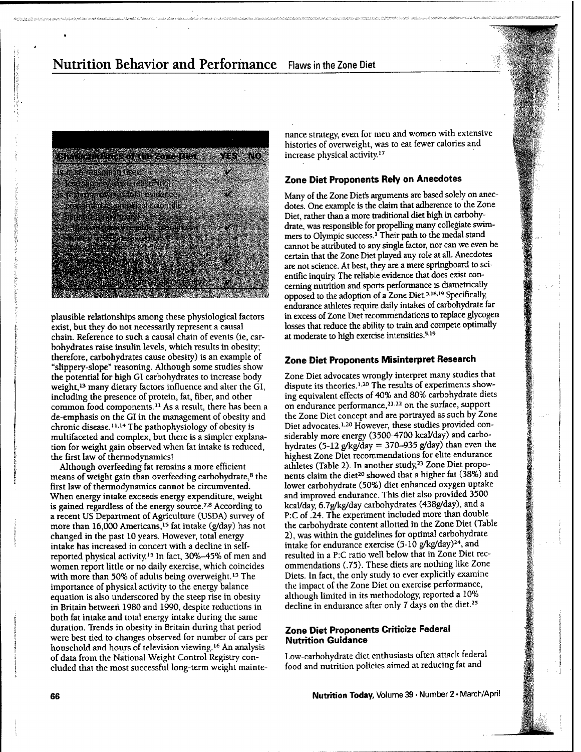# Nutrition Behavior and Performance Flaws in the Zone Diet



plausible relationships among these physiological factors exist, but they do not necessarily represent a causal chain. Reference to such a causal chain of events (ie, carbohydrates raise insulin levels, which results in obesity; therefore, carbohydrates cause obesity) is an example of "slippery-slope" reasoning. Although some studies show the potential for high GI carbohydrates to increase body weight,13 many dietary factors influence and alter the GI, including the presence of protein, fat, fiber, and other common food components.<sup>11</sup> As a result, there has been a de-emphasis on the GI in the management of obesity and chronic disease.<sup>11,14</sup> The pathophysiology of obesity is multifaceted and complex, but there is a simpler explanation for weight gain observed when fat intake is reduced, the first law of thermodynamics!

Although overfeeding fat remains a more efficient means of weight gain than overfeeding carbohydrate,<sup>8</sup> the first law of thermodynamics cannot be circumvented. When energy intake exceeds energy expenditure, weight is gained regardless of the energy source.<sup> $7,8$ </sup> According to a recent US Department of Agriculture (USDA) survey of more than 16,000 Americans,<sup>15</sup> fat intake (g/day) has not changed in the past 10 years. However, total energy intake has increased in concert with a decline in selfreported physical activity.<sup>15</sup> In fact, 30%-45% of men and women report little or no daily exercise, which coincides with more than 50% of adults being overweight.<sup>15</sup> The importance of physical activity to the energy balance equation is also underscored by the steep rise in obesity in Britain between 1980 and 1990, despite reductions in both fat intake and total energy intake during the same duration. Trends in obesity in Britain during that period were best tied to changes observed for number of cars per household and hours of television viewing.<sup>16</sup> An analysis of data from the National Weight Control Registry concluded that the most successful long-term weight maintenance strategy, even for men and women with extensive histories of overweight, was to eat fewer calories and increase physical activity.<sup>17</sup>

### **Zone Diet Proponents Rely on Anecdotes**

Many of the Zone Diet's arguments are based solely on anecdotes. One example is the claim that adherence to the Zone Diet, rather than a more traditional diet high in carbohydrate, was responsible for propelling many collegiate swimmers to Olympic success.' Their path to the medal stand cannot be attributed to any single factor, nor can we even be certain that the Zone Diet played any role at all. Anecdotes are not science. At best, they are a mere springboard to scientific inquiry. The reliable evidence that does exist concerning nutrition and sports performance is diametrically opposed to the adoption of a Zone Diet.<sup>5,18,19</sup> Specifically, endurance athletes require daily intakes of carbohydrate far in excess of Zone Diet recommendations to replace glycogen losses that reduce the ability to train and compete optimally at moderate to high exercise intensities.<sup>5,19</sup>

## **Zone Diet Proponents Misinterpret Research**

Zone Diet advocates wrongly interpret many studies that dispute its theories.<sup>1,20</sup> The results of experiments showing equivalent effects of 40% and 80% carbohydrate diets on endurance performance,<sup>21,22</sup> on the surface, support the Zone Diet concept and are portrayed as such by Zone Diet advocates.<sup>1,20</sup> However, these studies provided considerably more energy (3500-4700 kcal/day) and carbohydrates (5-12  $g$ /kg/day = 370-935 g/day) than even the highest Zone Diet recommendations for elite endurance athletes (Table 2). In another study,<sup>23</sup> Zone Diet proponents claim the diet<sup>20</sup> showed that a higher fat (38%) and lower carbohydrate (50%) diet enhanced oxygen uptake and improved endurance. This diet also provided 3500 kcal/day 6.7g/kg/day carbohydrates (438g/day), and a P:C of .24. The experiment included more than double the carbohydrate content allotted in the Zone Diet (Table 2), was within the guidelines for optimal carbohydrate intake for endurance exercise (5-10 g/kg/day)<sup>24</sup>, and resulted in a P:C ratio well below that in Zone Diet recommendations (.75). These diets are nothing like Zone Diets. In fact, the only study lo ever explicitly examine the impact of the Zone Diet on exercise performance, although limited in its methodology reported a 10% decline in endurance after only 7 days on the diet.<sup>25</sup>

## **Zone Diet Proponents Criticize Federal Nutrition Guidance**

Low-carbohydrate diet enthusiasts often attack federal food and nutrition policies aimed at reducing fat and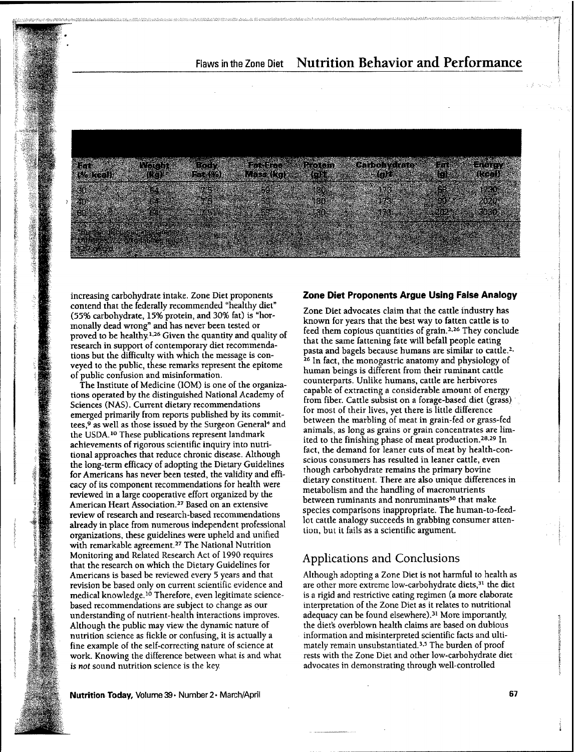

**Pnytoin (gKt**

> 130 **-30 30**

increasing carbohydrate intake. Zone Diet proponents contend that the federally recommended "healthy diet" (55% carbohydrate, 15% protein, and 30% fat) is "hormonally dead wrong" and has never been tested or proved to be healthy.<sup>1,26</sup> Given the quantity and quality of research in support of contemporary diet recommendations but the difficulty with which the message is conveyed to the pubhc, these remarks represent the epitome of public confusion and misinformation.

**"^ Biife4M).'**

*-ipn:*

**-i#**

 $\mathbf{r}$ ft »

*fir.*

**Fat- ;-;**

**'30"-;' '.**

*"t"*

**64**

The Institute of Medicine (lOM) is one of the organizations operated by the distinguished National Academy of Sciences (NAS). Current dietary recommendations emerged primarily from reports published by its committees,<sup>9</sup> as well as those issued by the Surgeon General<sup>4</sup> and the USDA.<sup>10</sup> These publications represent landmark achievements of rigorous scientific inquiry into nutritional approaches that reduce chronic disease. Although the long-term efficacy of adopting the Dietary Guidelines for Americans has never been tested, the validity and efficacy of its component recommendations for health were reviewed in a large cooperative effort organized by the American Heart Association.<sup>27</sup> Based on an extensive review of research and research-based recommendations already in place from numerous independent professional organizations, these guidelines were upheld and unified with remarkable agreement.<sup>27</sup> The National Nutrition Monitoring and Related Research Act of 1990 requires that the research on which the Dietary Guidelines for Americans is based be reviewed every 5 years and that revision be based only on current scientific evidence and medical knowledge.<sup>10</sup> Therefore, even legitimate sciencebased recommendations are subject to change as our understanding of nutrient-health interactions improves. Although the public may view the dynamic nature of nutrition science as fickle or confusing, it is actually a fine example of the self-correcting nature of science at work. Knowing the difference between what is and what is *not* sound nutrition science is the key.

### **Zone Diet Proponents Argue Using False Analogy**

**Ca'rbohyt4caft»\*' IT- Energy**

**(kcal)**

**1730 2020** - 1^030

**.' -**

Zone Diet advocates claim that the cattle industry has known for years that the best way to fatten cattle is to feed them copious quantities of grain.<sup>2,26</sup> They conclude that the same fattening fate will befall people eating pasta and bagels because humans are similar to cattle.<sup>2</sup> <sup>26</sup> In fact, the monogastric anatomy and physiology of human beings is different from their ruminant cattle counterparts. Unlike humans, cattle are herbivores capable of extracting a considerable amount of energy from fiber. Cattle subsist on a forage-based diet (grass) for most of their lives, yet there is little difference between the marbling of meat in grain-fed or grass-fed animals, as long as grains or grain concentrates are limited to the finishing phase of meat production.<sup>28,29</sup> In fact, the demand for leaner cuts of meat by health-conscious consumers has resulted in leaner cattle, even though carbohydrate remains the primary bovine dietary constituent. There are also unique differences in metabolism and the handling of macronutrients between ruminants and nonruminants<sup>30</sup> that make species comparisons inappropriate. The human-to-feedlot catrie analogy succeeds in grabbing consumer attention, but it fails as a scientific argument.

# Applications and Conclusions

Although adopting a Zone Diet is not harmful to health as are other more extreme low-carbohydrate diets,<sup>31</sup> the diet is a rigid and restrictive eating regimen (a more elaborate interpretation of the Zone Diet as it relates to nutritional adequacy can be found elsewhere).<sup>31</sup> More importantly, the diet's overblown health claims are based on dubious information and misinterpreted scientific facts and ultimately remain unsubstantiated.<sup>3,5</sup> The burden of proof rests with the Zone Diet and other low-carbohydrate diet advocates in demonstrating through well-controlled

**Nutrition Today,** Volume 39 · Number 2 · March/April 67 · Contract 67 · Contract 67 · Contract 67 · Contract 67 · Contract 67 · Contract 67 · Contract 67 · Contract 67 · Contract 67 · Contract 67 · Contract 67 · Contract